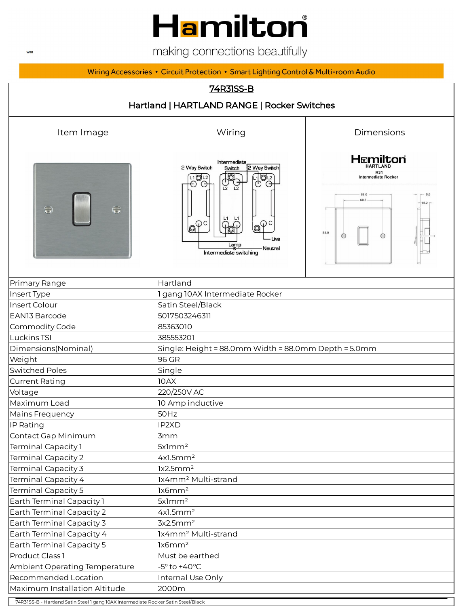## **Hamilton**

making connections beautifully

#### Wiring Accessories • Circuit Protection • Smart Lighting Control & Multi-room Audio



74R31SS-B - Hartland Satin Steel 1 gang 10AX Intermediate Rocker Satin Steel/Black

**WEB**